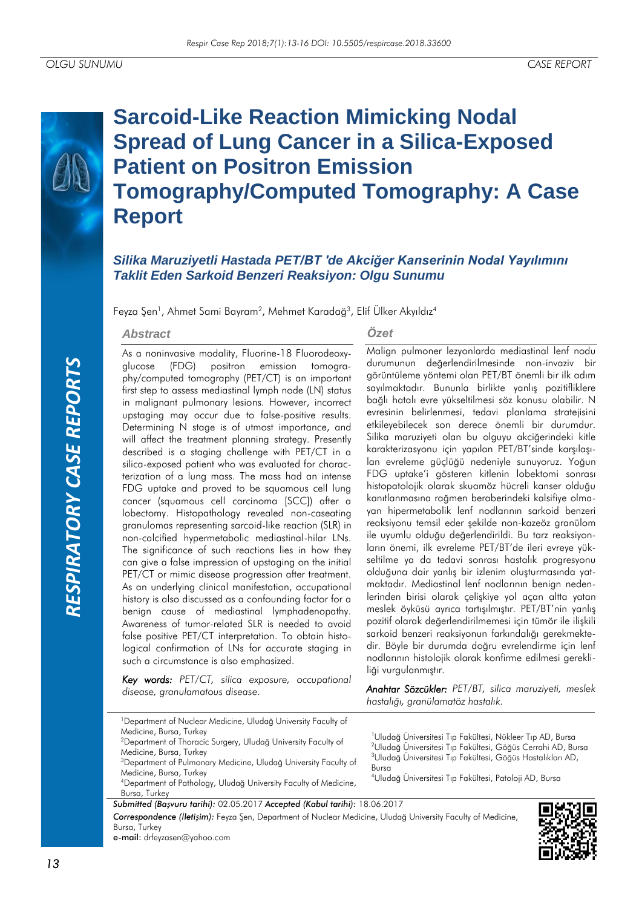

# **Sarcoid-Like Reaction Mimicking Nodal Spread of Lung Cancer in a Silica-Exposed Patient on Positron Emission Tomography/Computed Tomography: A Case Report**

# *Silika Maruziyetli Hastada PET/BT 'de Akciğer Kanserinin Nodal Yayılımını Taklit Eden Sarkoid Benzeri Reaksiyon: Olgu Sunumu*

Feyza Şen<sup>1</sup>, Ahmet Sami Bayram<sup>2</sup>, Mehmet Karadağ<sup>3</sup>, Elif Ülker Akyıldız<sup>4</sup>

#### *Abstract*

As a noninvasive modality, Fluorine-18 Fluorodeoxyglucose (FDG) positron emission tomography/computed tomography (PET/CT) is an important first step to assess mediastinal lymph node (LN) status in malignant pulmonary lesions. However, incorrect upstaging may occur due to false-positive results. Determining N stage is of utmost importance, and will affect the treatment planning strategy. Presently described is a staging challenge with PET/CT in a silica-exposed patient who was evaluated for characterization of a lung mass. The mass had an intense FDG uptake and proved to be squamous cell lung cancer (squamous cell carcinoma [SCC]) after a lobectomy. Histopathology revealed non-caseating granulomas representing sarcoid-like reaction (SLR) in non-calcified hypermetabolic mediastinal-hilar LNs. The significance of such reactions lies in how they can give a false impression of upstaging on the initial PET/CT or mimic disease progression after treatment. As an underlying clinical manifestation, occupational history is also discussed as a confounding factor for a benign cause of mediastinal lymphadenopathy. Awareness of tumor-related SLR is needed to avoid false positive PET/CT interpretation. To obtain histological confirmation of LNs for accurate staging in such a circumstance is also emphasized.

*Key words: PET/CT, silica exposure, occupational disease, granulamatous disease.*

#### *Özet*

Malign pulmoner lezyonlarda mediastinal lenf nodu durumunun değerlendirilmesinde non-invaziv bir görüntüleme yöntemi olan PET/BT önemli bir ilk adım sayılmaktadır. Bununla birlikte yanlış pozitifliklere bağlı hatalı evre yükseltilmesi söz konusu olabilir. N evresinin belirlenmesi, tedavi planlama stratejisini etkileyebilecek son derece önemli bir durumdur. Silika maruziyeti olan bu olguyu akciğerindeki kitle karakterizasyonu için yapılan PET/BT'sinde karşılaşılan evreleme güçlüğü nedeniyle sunuyoruz. Yoğun FDG uptake'i gösteren kitlenin lobektomi sonrası histopatolojik olarak skuamöz hücreli kanser olduğu kanıtlanmasına rağmen beraberindeki kalsifiye olmayan hipermetabolik lenf nodlarının sarkoid benzeri reaksiyonu temsil eder şekilde non-kazeöz granülom ile uyumlu olduğu değerlendirildi. Bu tarz reaksiyonların önemi, ilk evreleme PET/BT'de ileri evreye yükseltilme ya da tedavi sonrası hastalık progresyonu olduğuna dair yanlış bir izlenim oluşturmasında yatmaktadır. Mediastinal lenf nodlarının benign nedenlerinden birisi olarak çelişkiye yol açan altta yatan meslek öyküsü ayrıca tartışılmıştır. PET/BT'nin yanlış pozitif olarak değerlendirilmemesi için tümör ile ilişkili sarkoid benzeri reaksiyonun farkındalığı gerekmektedir. Böyle bir durumda doğru evrelendirme için lenf nodlarının histolojik olarak konfirme edilmesi gerekliliği vurgulanmıştır.

*Anahtar Sözcükler: PET/BT, silica maruziyeti, meslek hastalığı, granülamatöz hastalık.*

<sup>1</sup>Department of Nuclear Medicine, Uludağ University Faculty of Medicine, Bursa, Turkey <sup>2</sup>Department of Thoracic Surgery, Uludağ University Faculty of

Medicine, Bursa, Turkey <sup>3</sup>Department of Pulmonary Medicine, Uludağ University Faculty of Medicine, Bursa, Turkey

<sup>4</sup>Department of Pathology, Uludağ University Faculty of Medicine, Bursa, Turkey

*Submitted (Başvuru tarihi):* 02.05.2017 *Accepted (Kabul tarihi):* 18.06.2017

Uludağ Üniversitesi Tıp Fakültesi, Nükleer Tıp AD, Bursa Uludağ Üniversitesi Tıp Fakültesi, Göğüs Cerrahi AD, Bursa Uludağ Üniversitesi Tıp Fakültesi, Göğüs Hastalıkları AD, Bursa

<sup>4</sup>Uludağ Üniversitesi Tıp Fakültesi, Patoloji AD, Bursa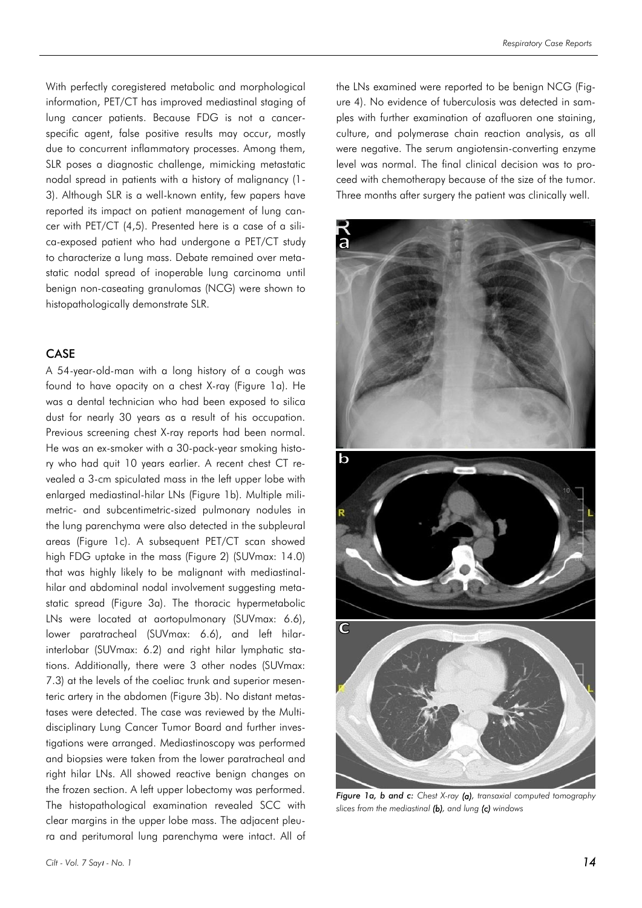With perfectly coregistered metabolic and morphological information, PET/CT has improved mediastinal staging of lung cancer patients. Because FDG is not a cancerspecific agent, false positive results may occur, mostly due to concurrent inflammatory processes. Among them, SLR poses a diagnostic challenge, mimicking metastatic nodal spread in patients with a history of malignancy (1- 3). Although SLR is a well-known entity, few papers have reported its impact on patient management of lung cancer with PET/CT (4,5). Presented here is a case of a silica-exposed patient who had undergone a PET/CT study to characterize a lung mass. Debate remained over metastatic nodal spread of inoperable lung carcinoma until benign non-caseating granulomas (NCG) were shown to histopathologically demonstrate SLR.

### CASE

A 54-year-old-man with a long history of a cough was found to have opacity on a chest X-ray (Figure 1a). He was a dental technician who had been exposed to silica dust for nearly 30 years as a result of his occupation. Previous screening chest X-ray reports had been normal. He was an ex-smoker with a 30-pack-year smoking history who had quit 10 years earlier. A recent chest CT revealed a 3-cm spiculated mass in the left upper lobe with enlarged mediastinal-hilar LNs (Figure 1b). Multiple milimetric- and subcentimetric-sized pulmonary nodules in the lung parenchyma were also detected in the subpleural areas (Figure 1c). A subsequent PET/CT scan showed high FDG uptake in the mass (Figure 2) (SUVmax: 14.0) that was highly likely to be malignant with mediastinalhilar and abdominal nodal involvement suggesting metastatic spread (Figure 3a). The thoracic hypermetabolic LNs were located at aortopulmonary (SUVmax: 6.6), lower paratracheal (SUVmax: 6.6), and left hilarinterlobar (SUVmax: 6.2) and right hilar lymphatic stations. Additionally, there were 3 other nodes (SUVmax: 7.3) at the levels of the coeliac trunk and superior mesenteric artery in the abdomen (Figure 3b). No distant metastases were detected. The case was reviewed by the Multidisciplinary Lung Cancer Tumor Board and further investigations were arranged. Mediastinoscopy was performed and biopsies were taken from the lower paratracheal and right hilar LNs. All showed reactive benign changes on the frozen section. A left upper lobectomy was performed. The histopathological examination revealed SCC with clear margins in the upper lobe mass. The adjacent pleura and peritumoral lung parenchyma were intact. All of the LNs examined were reported to be benign NCG (Figure 4). No evidence of tuberculosis was detected in samples with further examination of azafluoren one staining, culture, and polymerase chain reaction analysis, as all were negative. The serum angiotensin-converting enzyme level was normal. The final clinical decision was to proceed with chemotherapy because of the size of the tumor. Three months after surgery the patient was clinically well.



*Figure 1a, b and c: Chest X-ray (a), transaxial computed tomography slices from the mediastinal (b), and lung (c) windows*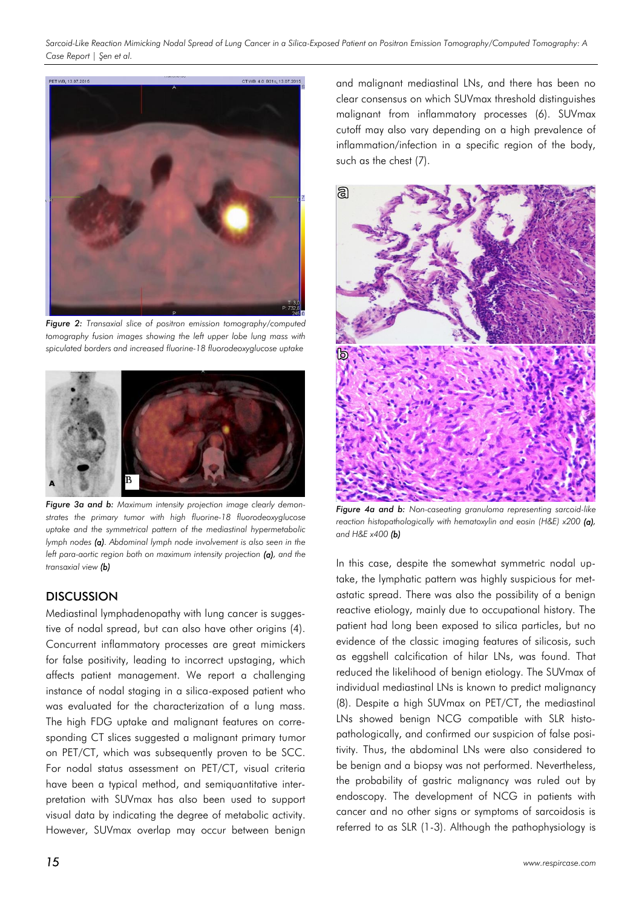

*Figure 2: Transaxial slice of positron emission tomography/computed tomography fusion images showing the left upper lobe lung mass with spiculated borders and increased fluorine-18 fluorodeoxyglucose uptake*



*Figure 3a and b: Maximum intensity projection image clearly demonstrates the primary tumor with high fluorine-18 fluorodeoxyglucose uptake and the symmetrical pattern of the mediastinal hypermetabolic lymph nodes (a). Abdominal lymph node involvement is also seen in the left para-aortic region both on maximum intensity projection (a), and the transaxial view (b)* 

# **DISCUSSION**

Mediastinal lymphadenopathy with lung cancer is suggestive of nodal spread, but can also have other origins (4). Concurrent inflammatory processes are great mimickers for false positivity, leading to incorrect upstaging, which affects patient management. We report a challenging instance of nodal staging in a silica-exposed patient who was evaluated for the characterization of a lung mass. The high FDG uptake and malignant features on corresponding CT slices suggested a malignant primary tumor on PET/CT, which was subsequently proven to be SCC. For nodal status assessment on PET/CT, visual criteria have been a typical method, and semiquantitative interpretation with SUVmax has also been used to support visual data by indicating the degree of metabolic activity. However, SUVmax overlap may occur between benign

and malignant mediastinal LNs, and there has been no clear consensus on which SUVmax threshold distinguishes malignant from inflammatory processes (6). SUVmax cutoff may also vary depending on a high prevalence of inflammation/infection in a specific region of the body, such as the chest (7).



*Figure 4a and b: Non-caseating granuloma representing sarcoid-like reaction histopathologically with hematoxylin and eosin (H&E) x200 (a), and H&E x400 (b)*

In this case, despite the somewhat symmetric nodal uptake, the lymphatic pattern was highly suspicious for metastatic spread. There was also the possibility of a benign reactive etiology, mainly due to occupational history. The patient had long been exposed to silica particles, but no evidence of the classic imaging features of silicosis, such as eggshell calcification of hilar LNs, was found. That reduced the likelihood of benign etiology. The SUVmax of individual mediastinal LNs is known to predict malignancy (8). Despite a high SUVmax on PET/CT, the mediastinal LNs showed benign NCG compatible with SLR histopathologically, and confirmed our suspicion of false positivity. Thus, the abdominal LNs were also considered to be benign and a biopsy was not performed. Nevertheless, the probability of gastric malignancy was ruled out by endoscopy. The development of NCG in patients with cancer and no other signs or symptoms of sarcoidosis is referred to as SLR (1-3). Although the pathophysiology is